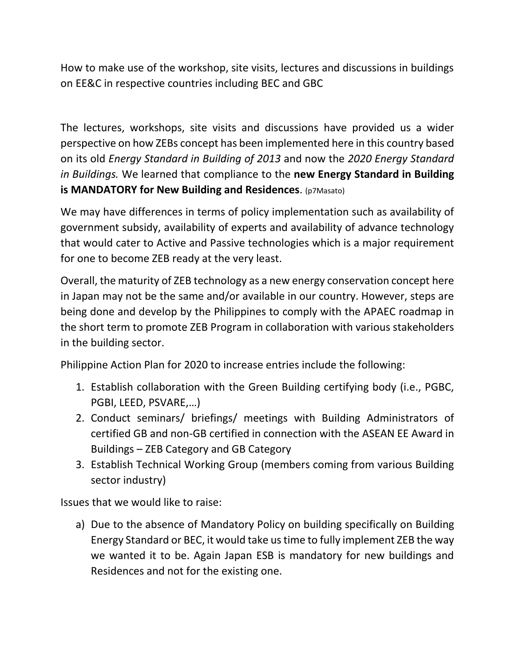How to make use of the workshop, site visits, lectures and discussions in buildings on EE&C in respective countries including BEC and GBC

The lectures, workshops, site visits and discussions have provided us a wider perspective on how ZEBs concept has been implemented here in this country based on its old *Energy Standard in Building of 2013* and now the *2020 Energy Standard in Buildings.* We learned that compliance to the **new Energy Standard in Building is MANDATORY for New Building and Residences**. (p7Masato)

We may have differences in terms of policy implementation such as availability of government subsidy, availability of experts and availability of advance technology that would cater to Active and Passive technologies which is a major requirement for one to become ZEB ready at the very least.

Overall, the maturity of ZEB technology as a new energy conservation concept here in Japan may not be the same and/or available in our country. However, steps are being done and develop by the Philippines to comply with the APAEC roadmap in the short term to promote ZEB Program in collaboration with various stakeholders in the building sector.

Philippine Action Plan for 2020 to increase entries include the following:

- 1. Establish collaboration with the Green Building certifying body (i.e., PGBC, PGBI, LEED, PSVARE,…)
- 2. Conduct seminars/ briefings/ meetings with Building Administrators of certified GB and non-GB certified in connection with the ASEAN EE Award in Buildings – ZEB Category and GB Category
- 3. Establish Technical Working Group (members coming from various Building sector industry)

Issues that we would like to raise:

a) Due to the absence of Mandatory Policy on building specifically on Building Energy Standard or BEC, it would take us time to fully implement ZEB the way we wanted it to be. Again Japan ESB is mandatory for new buildings and Residences and not for the existing one.